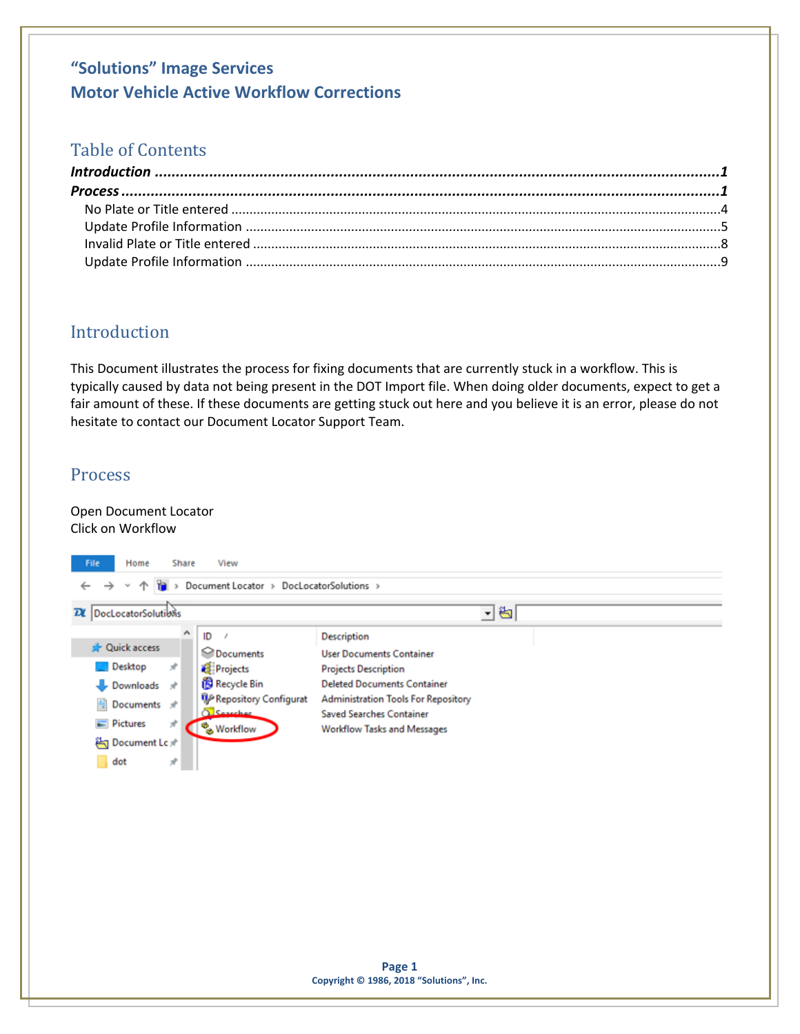### Table of Contents

### <span id="page-0-0"></span>Introduction

This Document illustrates the process for fixing documents that are currently stuck in a workflow. This is typically caused by data not being present in the DOT Import file. When doing older documents, expect to get a fair amount of these. If these documents are getting stuck out here and you believe it is an error, please do not hesitate to contact our Document Locator Support Team.

#### <span id="page-0-1"></span>**Process**

#### Open Document Locator Click on Workflow

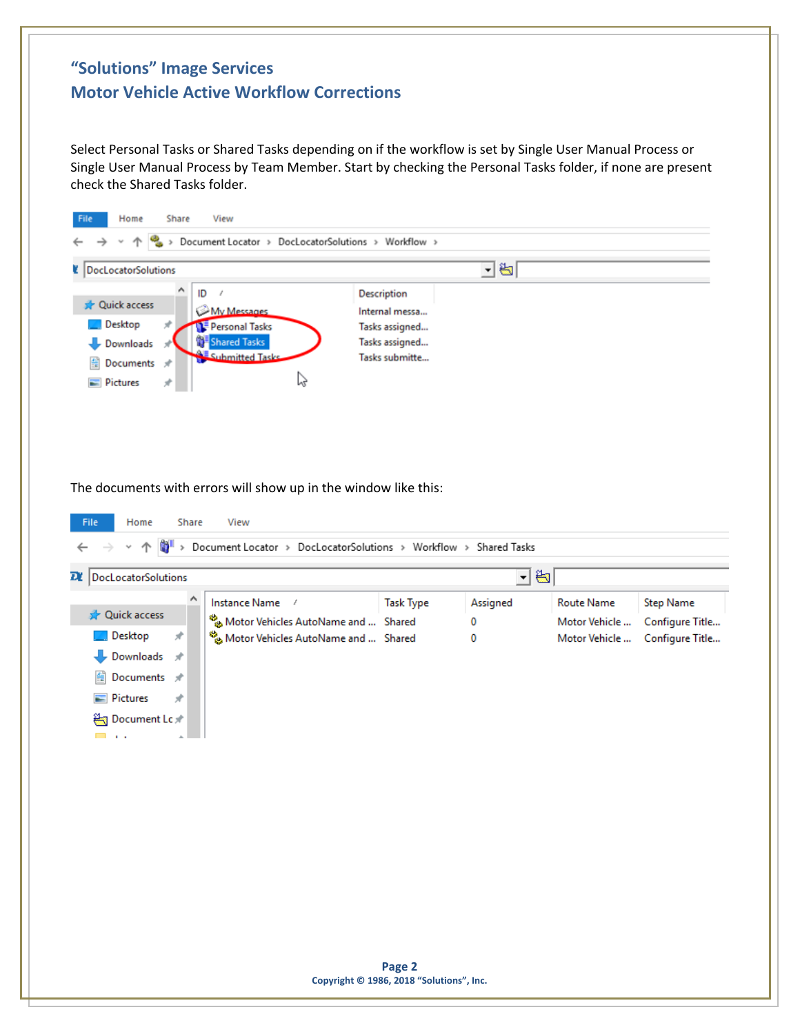Select Personal Tasks or Shared Tasks depending on if the workflow is set by Single User Manual Process or Single User Manual Process by Team Member. Start by checking the Personal Tasks folder, if none are present check the Shared Tasks folder.



The documents with errors will show up in the window like this:

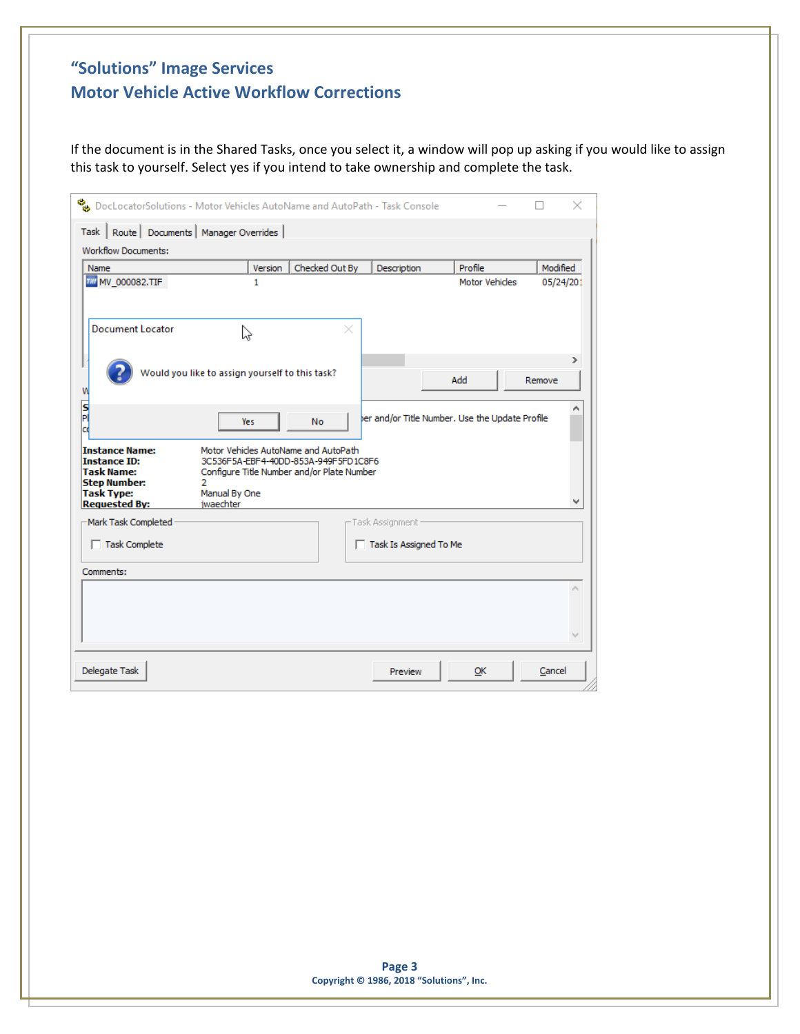If the document is in the Shared Tasks, once you select it, a window will pop up asking if you would like to assign this task to yourself. Select yes if you intend to take ownership and complete the task.

| <b>Workflow Documents:</b><br>Name<br>THE MV_000082.TIF                                                                        | Version<br>1                                                                                                                                             | Checked Out By | Description              | Profile<br><b>Motor Vehicles</b>                | Modified<br>05/24/201 |
|--------------------------------------------------------------------------------------------------------------------------------|----------------------------------------------------------------------------------------------------------------------------------------------------------|----------------|--------------------------|-------------------------------------------------|-----------------------|
| <b>Document Locator</b>                                                                                                        | べ                                                                                                                                                        |                |                          |                                                 |                       |
|                                                                                                                                | Would you like to assign yourself to this task?                                                                                                          |                |                          | Add                                             | ⋗<br>Remove           |
| S<br>Pl<br>cd                                                                                                                  | <b>Yes</b>                                                                                                                                               | <b>No</b>      |                          | ber and/or Title Number. Use the Update Profile |                       |
| <b>Instance Name:</b><br><b>Instance ID:</b><br>Task Name:<br><b>Step Number:</b><br><b>Task Type:</b><br><b>Requested By:</b> | Motor Vehicles AutoName and AutoPath<br>3C536F5A-EBF4-40DD-853A-949F5FD1C8F6<br>Configure Title Number and/or Plate Number<br>Manual By One<br>iwaechter |                |                          |                                                 |                       |
| Mark Task Completed                                                                                                            |                                                                                                                                                          |                | -Task Assignment -       |                                                 |                       |
| $\Box$ Task Complete                                                                                                           |                                                                                                                                                          |                | □ Task Is Assigned To Me |                                                 |                       |
| Comments:                                                                                                                      |                                                                                                                                                          |                |                          |                                                 |                       |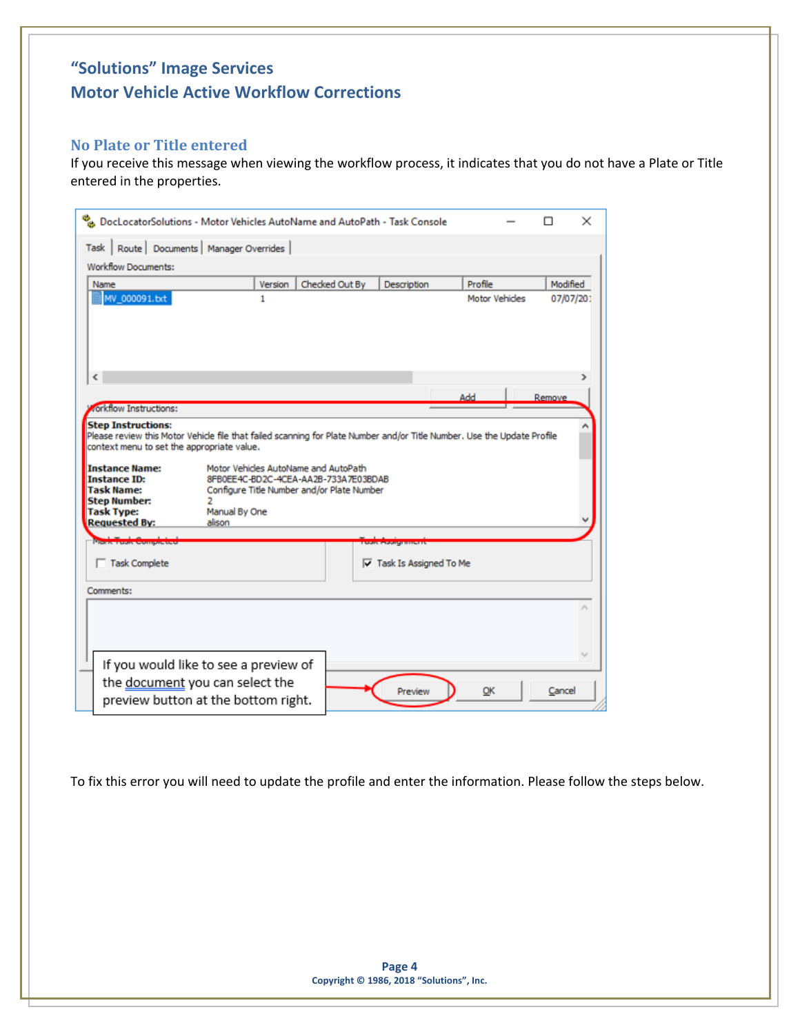#### <span id="page-3-0"></span>**No Plate or Title entered**

If you receive this message when viewing the workflow process, it indicates that you do not have a Plate or Title entered in the properties.

| DocLocatorSolutions - Motor Vehicles AutoName and AutoPath - Task Console<br>Task   Route   Documents   Manager Overrides  <br><b>Workflow Documents:</b>                                          |                                                                                                                            |                                 |                       | ×         |
|----------------------------------------------------------------------------------------------------------------------------------------------------------------------------------------------------|----------------------------------------------------------------------------------------------------------------------------|---------------------------------|-----------------------|-----------|
| Name                                                                                                                                                                                               | Checked Out By<br>Version                                                                                                  | Description                     | Profile               | Modified  |
| MV_000091.bxt<br>¢                                                                                                                                                                                 | 1                                                                                                                          |                                 | <b>Motor Vehicles</b> | 07/07/201 |
|                                                                                                                                                                                                    |                                                                                                                            |                                 | Add                   | Remove    |
| <b>rorkflow Instructions:</b>                                                                                                                                                                      |                                                                                                                            |                                 |                       |           |
| <b>Step Instructions:</b><br>Please review this Motor Vehicle file that failed scanning for Plate Number and/or Title Number. Use the Update Profile<br>context menu to set the appropriate value. |                                                                                                                            |                                 |                       |           |
| <b>Instance Name:</b><br><b>Instance ID:</b><br><b>Task Name:</b>                                                                                                                                  | Motor Vehicles AutoName and AutoPath<br>8FB0EE4C-BD2C-4CEA-AA2B-733A7E03BDAB<br>Configure Title Number and/or Plate Number |                                 |                       |           |
| <b>Step Number:</b><br>2<br><b>Task Type:</b><br>Manual By One<br><b>Requested By:</b><br>alison                                                                                                   |                                                                                                                            |                                 |                       |           |
|                                                                                                                                                                                                    |                                                                                                                            | 2202111112                      |                       |           |
| Task Complete                                                                                                                                                                                      |                                                                                                                            | $\nabla$ Task Is Assigned To Me |                       |           |
| Comments:                                                                                                                                                                                          |                                                                                                                            |                                 |                       |           |
|                                                                                                                                                                                                    |                                                                                                                            |                                 |                       |           |
| If you would like to see a preview of                                                                                                                                                              |                                                                                                                            |                                 |                       |           |
| the document you can select the<br>preview button at the bottom right.                                                                                                                             |                                                                                                                            | Preview                         | OK                    | Cancel    |

To fix this error you will need to update the profile and enter the information. Please follow the steps below.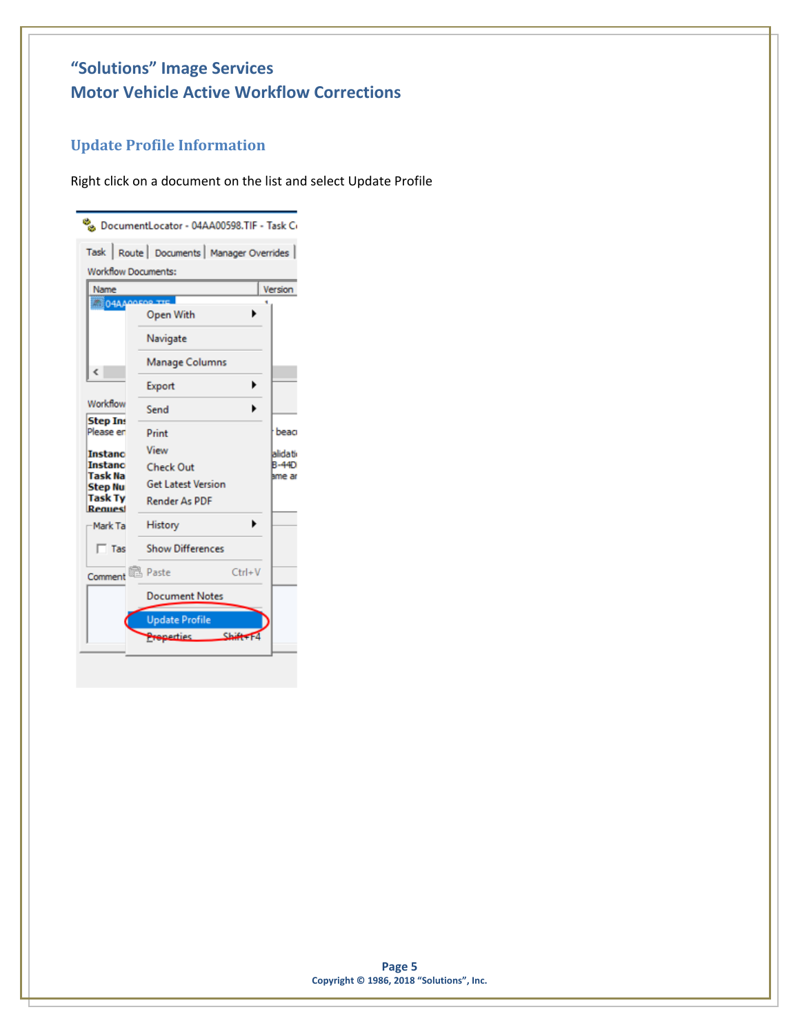## <span id="page-4-0"></span>**Update Profile Information**

Right click on a document on the list and select Update Profile

|                             | No DocumentLocator - 04AA00598.TIF - Task Co |                        |
|-----------------------------|----------------------------------------------|------------------------|
|                             | Task   Route   Documents   Manager Overrides |                        |
| <b>Workflow Documents:</b>  |                                              |                        |
| Name                        |                                              | Version                |
| <b>NO4AA</b>                | Open With                                    |                        |
|                             | Navigate                                     |                        |
| ∢                           | Manage Columns                               |                        |
|                             | ▶<br>Export                                  |                        |
| Workflow<br><b>Step Ins</b> | Send<br>▶                                    |                        |
| Please en                   | Print                                        | beac                   |
| <b>Instanc</b>              | View                                         | alidati                |
| <b>Instanc</b><br>Task Na   | <b>Check Out</b>                             | <b>B-44D</b><br>ame ar |
| <b>Step Nu</b>              | <b>Get Latest Version</b>                    |                        |
| <b>Task Ty</b><br>Request   | <b>Render As PDF</b>                         |                        |
| Mark Ta                     | History                                      |                        |
| $\Box$ Tas                  | <b>Show Differences</b>                      |                        |
| Comment                     | <b>图 Paste</b><br>$Ctrl + V$                 |                        |
|                             | <b>Document Notes</b>                        |                        |
|                             | <b>Update Profile</b>                        |                        |
|                             | ShiffF4<br><b>Properties</b>                 |                        |
|                             |                                              |                        |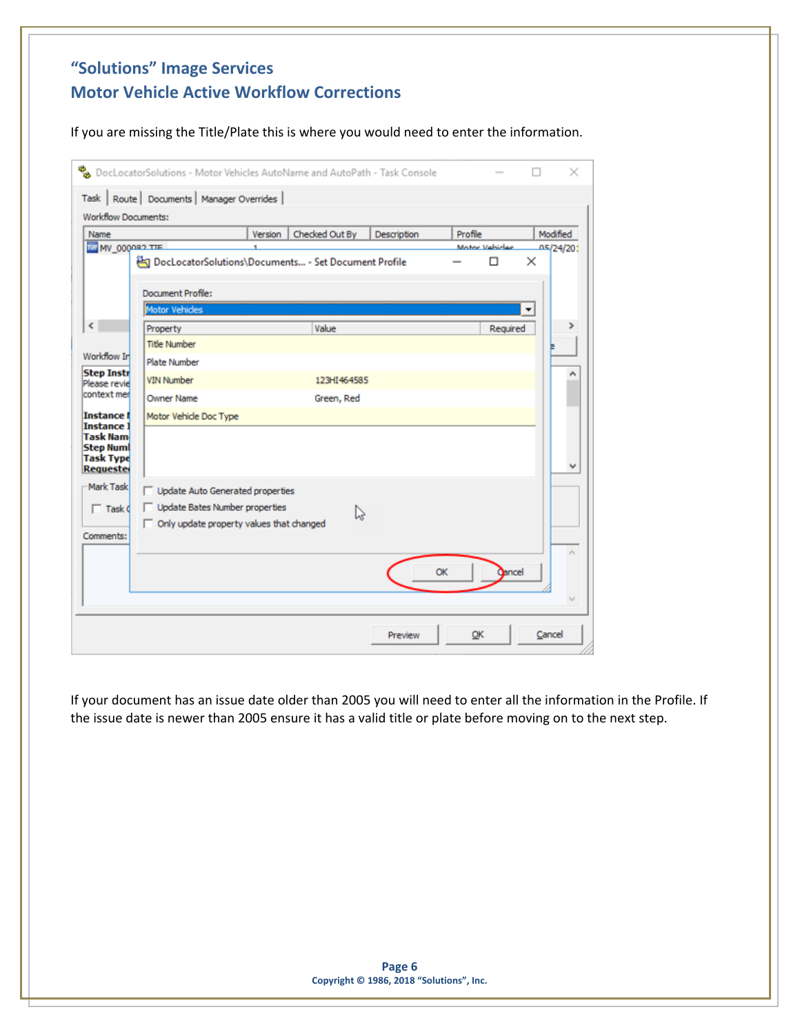If you are missing the Title/Plate this is where you would need to enter the information.

| Name                                              |                                                               | Version | Checked Out By | Description | Profile |                     | Modified       |
|---------------------------------------------------|---------------------------------------------------------------|---------|----------------|-------------|---------|---------------------|----------------|
| <b>THE CROOON WITH</b>                            | <b>名 DocLocatorSolutions\Documents - Set Document Profile</b> |         |                |             |         | Motor Vahicles<br>п | 05/24/201<br>× |
|                                                   | Document Profile:                                             |         |                |             |         |                     |                |
|                                                   | <b>Motor Vehicles</b>                                         |         |                |             |         |                     |                |
|                                                   | Property                                                      |         | Value          |             |         | Reguired            |                |
|                                                   | <b>Title Number</b>                                           |         |                |             |         |                     |                |
| Workflow In                                       | Plate Number                                                  |         |                |             |         |                     |                |
| <b>Step Instr</b><br>Please revie                 | <b>VIN Number</b>                                             |         | 123HI464585    |             |         |                     |                |
| context mer                                       | Owner Name                                                    |         | Green, Red     |             |         |                     |                |
| <b>Instance f</b>                                 | Motor Vehicle Doc Type                                        |         |                |             |         |                     |                |
| <b>Instance 1</b><br>Task Nam<br><b>Step Numl</b> |                                                               |         |                |             |         |                     |                |
| <b>Task Type</b><br>Requester                     |                                                               |         |                |             |         |                     |                |
| Mark Task                                         | Update Auto Generated properties                              |         |                |             |         |                     |                |
| $\Box$ Task $d$                                   | Update Bates Number properties                                |         | W              |             |         |                     |                |
|                                                   | $\Box$ Only update property values that changed               |         |                |             |         |                     |                |
| Comments:                                         |                                                               |         |                |             |         |                     |                |
|                                                   |                                                               |         |                |             |         |                     |                |
|                                                   |                                                               |         |                |             | OK      | Cancel              |                |

If your document has an issue date older than 2005 you will need to enter all the information in the Profile. If the issue date is newer than 2005 ensure it has a valid title or plate before moving on to the next step.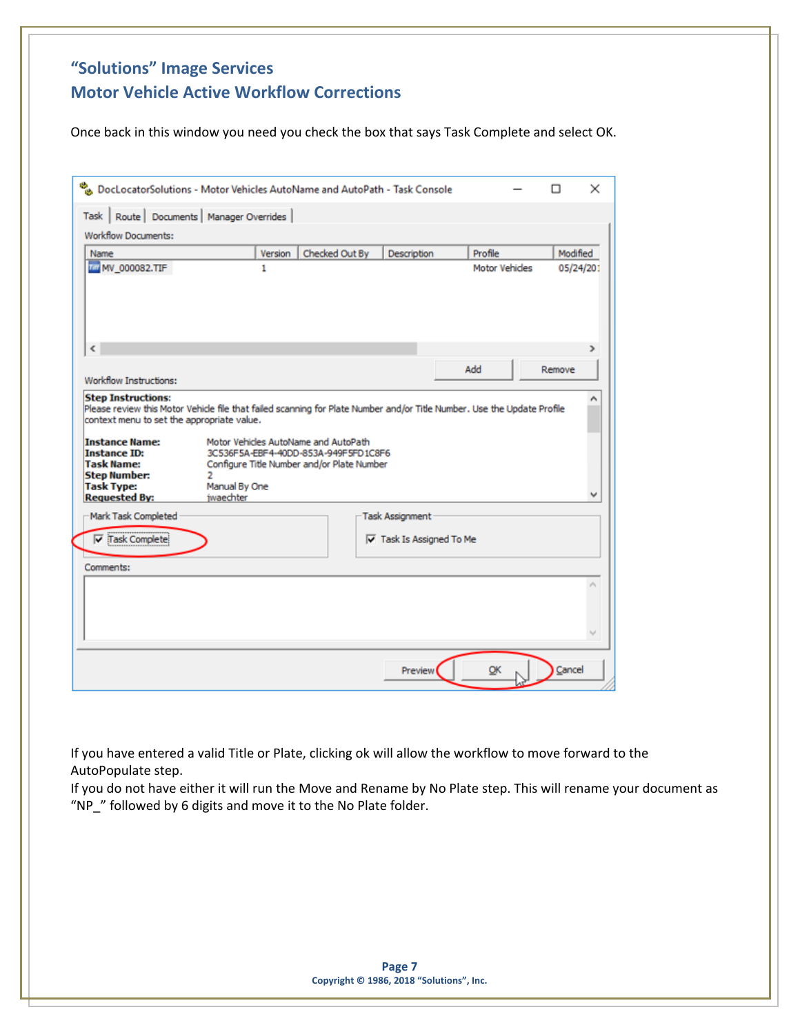Once back in this window you need you check the box that says Task Complete and select OK.

| <b>Workflow Documents:</b><br>Name                                                                                                                                                                                                                                                                                                                                 |                                 | Version | Checked Out By                                                               | Description                     | Profile               | Modified  |
|--------------------------------------------------------------------------------------------------------------------------------------------------------------------------------------------------------------------------------------------------------------------------------------------------------------------------------------------------------------------|---------------------------------|---------|------------------------------------------------------------------------------|---------------------------------|-----------------------|-----------|
| <b>MW_000082.TIF</b>                                                                                                                                                                                                                                                                                                                                               |                                 | 1       |                                                                              |                                 | <b>Motor Vehicles</b> | 05/24/201 |
| $\tilde{C}$                                                                                                                                                                                                                                                                                                                                                        |                                 |         |                                                                              |                                 |                       |           |
| Workflow Instructions:                                                                                                                                                                                                                                                                                                                                             |                                 |         |                                                                              |                                 | Add                   | Remove    |
|                                                                                                                                                                                                                                                                                                                                                                    |                                 |         | Motor Vehicles AutoName and AutoPath<br>3C536F5A-EBF4-40DD-853A-949F5FD1C8F6 |                                 |                       |           |
|                                                                                                                                                                                                                                                                                                                                                                    | 2<br>Manual By One<br>iwaechter |         | Configure Title Number and/or Plate Number                                   |                                 |                       |           |
| <b>Step Instructions:</b><br>Please review this Motor Vehicle file that failed scanning for Plate Number and/or Title Number. Use the Update Profile<br>context menu to set the appropriate value.<br><b>Instance Name:</b><br><b>Instance ID:</b><br><b>Task Name:</b><br><b>Step Number:</b><br><b>Task Type:</b><br><b>Requested By:</b><br>Mark Task Completed |                                 |         |                                                                              | Task Assignment                 |                       |           |
| $\nabla$ Task Complete                                                                                                                                                                                                                                                                                                                                             |                                 |         |                                                                              | $\nabla$ Task Is Assigned To Me |                       |           |
|                                                                                                                                                                                                                                                                                                                                                                    |                                 |         |                                                                              |                                 |                       |           |
| Comments:                                                                                                                                                                                                                                                                                                                                                          |                                 |         |                                                                              |                                 |                       |           |

If you have entered a valid Title or Plate, clicking ok will allow the workflow to move forward to the AutoPopulate step.

If you do not have either it will run the Move and Rename by No Plate step. This will rename your document as "NP\_" followed by 6 digits and move it to the No Plate folder.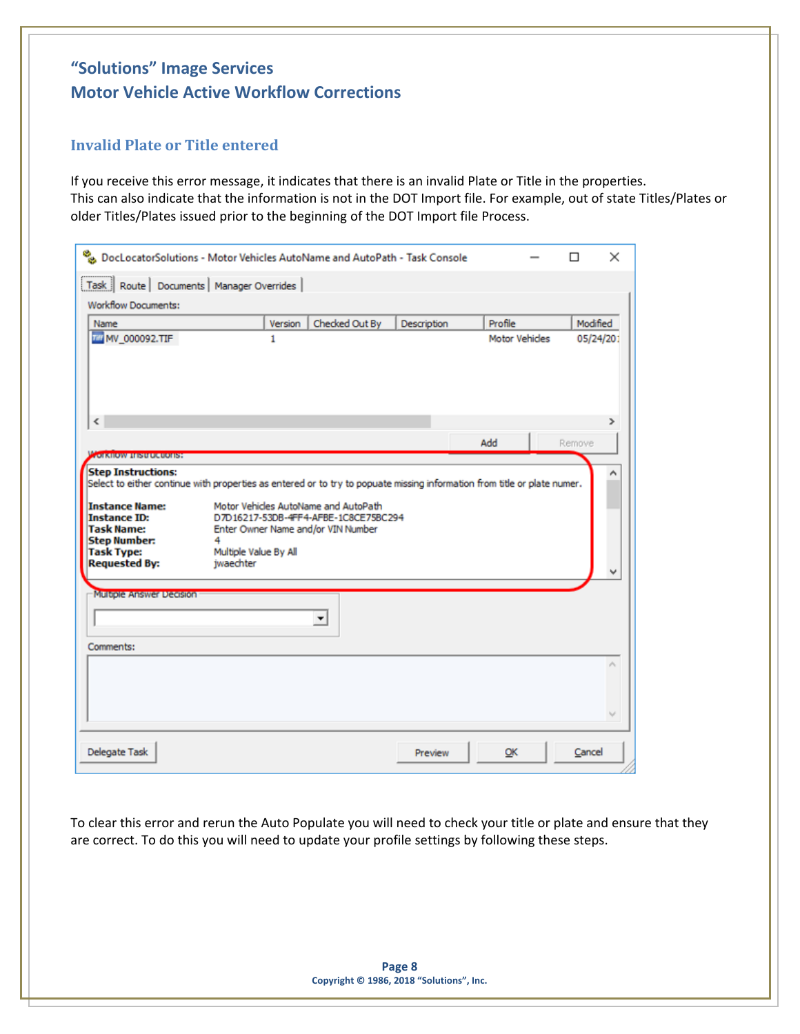#### <span id="page-7-0"></span>**Invalid Plate or Title entered**

If you receive this error message, it indicates that there is an invalid Plate or Title in the properties. This can also indicate that the information is not in the DOT Import file. For example, out of state Titles/Plates or older Titles/Plates issued prior to the beginning of the DOT Import file Process.

|                                                                                                                                                                                                     | DocLocatorSolutions - Motor Vehicles AutoName and AutoPath - Task Console                                                                                                                                                                                                                 |                |             |                       | $\times$  |
|-----------------------------------------------------------------------------------------------------------------------------------------------------------------------------------------------------|-------------------------------------------------------------------------------------------------------------------------------------------------------------------------------------------------------------------------------------------------------------------------------------------|----------------|-------------|-----------------------|-----------|
| Task   Route   Documents   Manager Overrides                                                                                                                                                        |                                                                                                                                                                                                                                                                                           |                |             |                       |           |
| <b>Workflow Documents:</b>                                                                                                                                                                          |                                                                                                                                                                                                                                                                                           |                |             |                       |           |
| Name                                                                                                                                                                                                | Version                                                                                                                                                                                                                                                                                   | Checked Out By | Description | Profile               | Modified  |
| <b>THE MV_000092.TIF</b>                                                                                                                                                                            | 1                                                                                                                                                                                                                                                                                         |                |             | <b>Motor Vehicles</b> | 05/24/201 |
| €                                                                                                                                                                                                   |                                                                                                                                                                                                                                                                                           |                |             |                       | ⋗         |
|                                                                                                                                                                                                     |                                                                                                                                                                                                                                                                                           |                |             | Add                   | Remove    |
| <b>TOTALIOW RESULTING ISS</b><br><b>Step Instructions:</b><br><b>Instance Name:</b><br><b>Instance ID:</b><br><b>Task Name:</b><br><b>Step Number:</b><br><b>Task Type:</b><br><b>Requested By:</b> | Select to either continue with properties as entered or to try to popuate missing information from title or plate numer.<br>Motor Vehicles AutoName and AutoPath<br>D7D16217-53DB-4FF4-AFBE-1C8CE75BC294<br>Enter Owner Name and/or VIN Number<br>4<br>Multiple Value By All<br>iwaechter |                |             |                       |           |
| Multiple Answer Decision<br>Comments:                                                                                                                                                               | ۰                                                                                                                                                                                                                                                                                         |                |             |                       |           |
|                                                                                                                                                                                                     |                                                                                                                                                                                                                                                                                           |                |             |                       |           |
| Delegate Task                                                                                                                                                                                       |                                                                                                                                                                                                                                                                                           |                | Preview     | OK                    | Cancel    |

To clear this error and rerun the Auto Populate you will need to check your title or plate and ensure that they are correct. To do this you will need to update your profile settings by following these steps.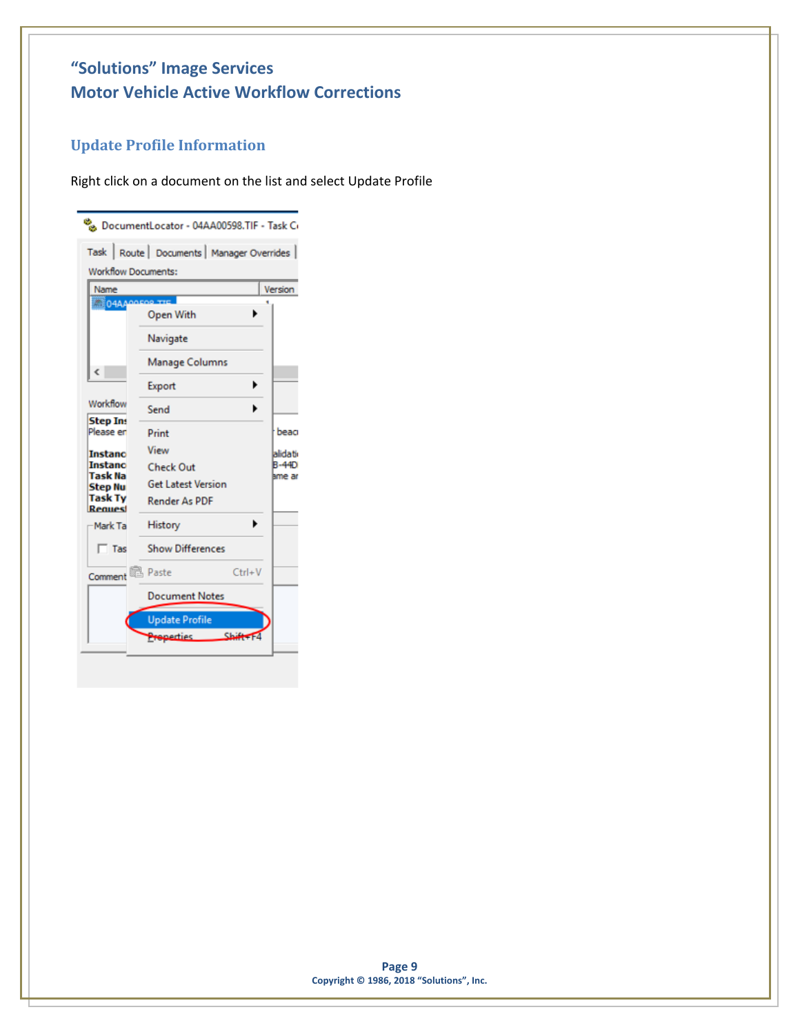## <span id="page-8-0"></span>**Update Profile Information**

Right click on a document on the list and select Update Profile

|                              | DocumentLocator - 04AA00598.TIF - Task Ci    |                        |
|------------------------------|----------------------------------------------|------------------------|
|                              | Task   Route   Documents   Manager Overrides |                        |
| <b>Workflow Documents:</b>   |                                              |                        |
| Name                         |                                              | Version                |
| <b>IDEO4AA</b>               | Open With                                    |                        |
|                              | Navigate                                     |                        |
| c                            | Manage Columns                               |                        |
|                              | Export<br>▶                                  |                        |
| Workflow                     | Send                                         |                        |
| <b>Step Ins</b><br>Please en | Print                                        | beag                   |
| <b>Instanc</b>               | View                                         | alidati                |
| <b>Instanc</b><br>Task Na    | <b>Check Out</b>                             | <b>B-44D</b><br>ame ar |
| <b>Step Nu</b><br>Task Ty    | <b>Get Latest Version</b>                    |                        |
| Request                      | <b>Render As PDF</b>                         |                        |
| Mark Ta                      | History                                      |                        |
| $\Gamma$ Tas                 | <b>Show Differences</b>                      |                        |
| Comment                      | <b>图 Paste</b><br>$Ctrl + V$                 |                        |
|                              | Document Notes                               |                        |
|                              | <b>Update Profile</b>                        |                        |
|                              | Preperties Shift                             |                        |
|                              |                                              |                        |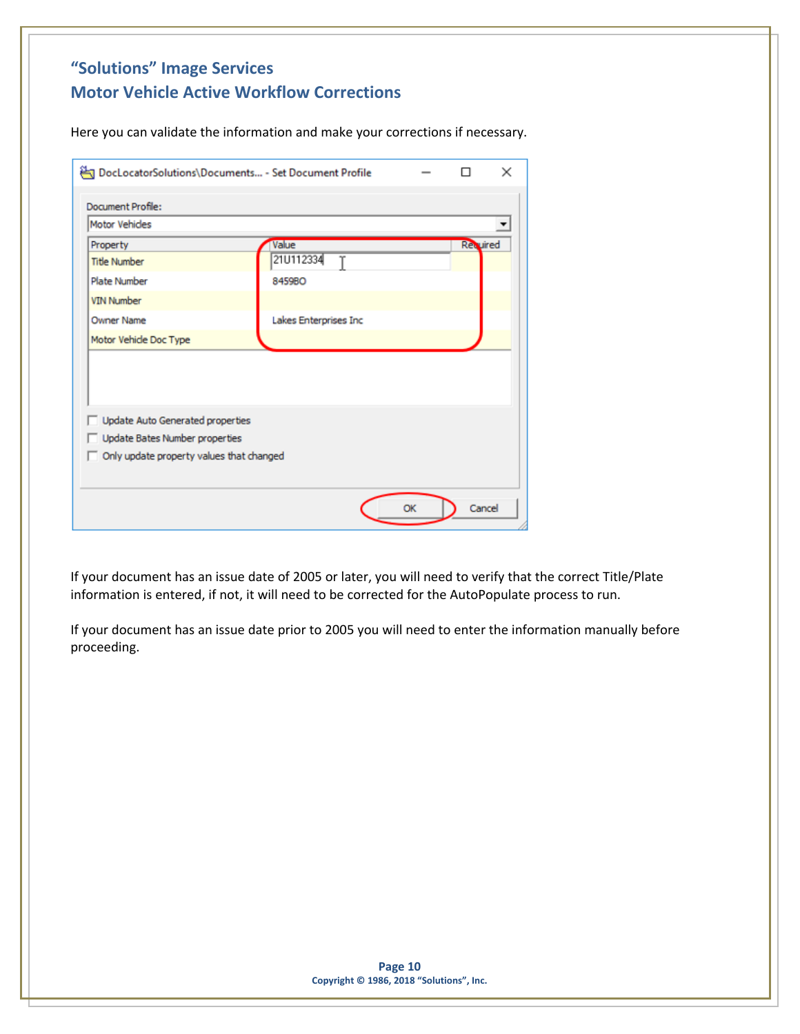Here you can validate the information and make your corrections if necessary.

| Motor Vehides                    |                                |                 |  |
|----------------------------------|--------------------------------|-----------------|--|
| Property                         | Value                          | <b>Revuired</b> |  |
| <b>Title Number</b>              | 21U112334<br>Υ                 |                 |  |
| Plate Number                     | 8459BO                         |                 |  |
| <b>VIN Number</b>                |                                |                 |  |
| <b>Owner Name</b>                | Lakes Enterprises Inc          |                 |  |
| Motor Vehide Doc Type            |                                |                 |  |
| Update Auto Generated properties | Update Bates Number properties |                 |  |

If your document has an issue date of 2005 or later, you will need to verify that the correct Title/Plate information is entered, if not, it will need to be corrected for the AutoPopulate process to run.

If your document has an issue date prior to 2005 you will need to enter the information manually before proceeding.